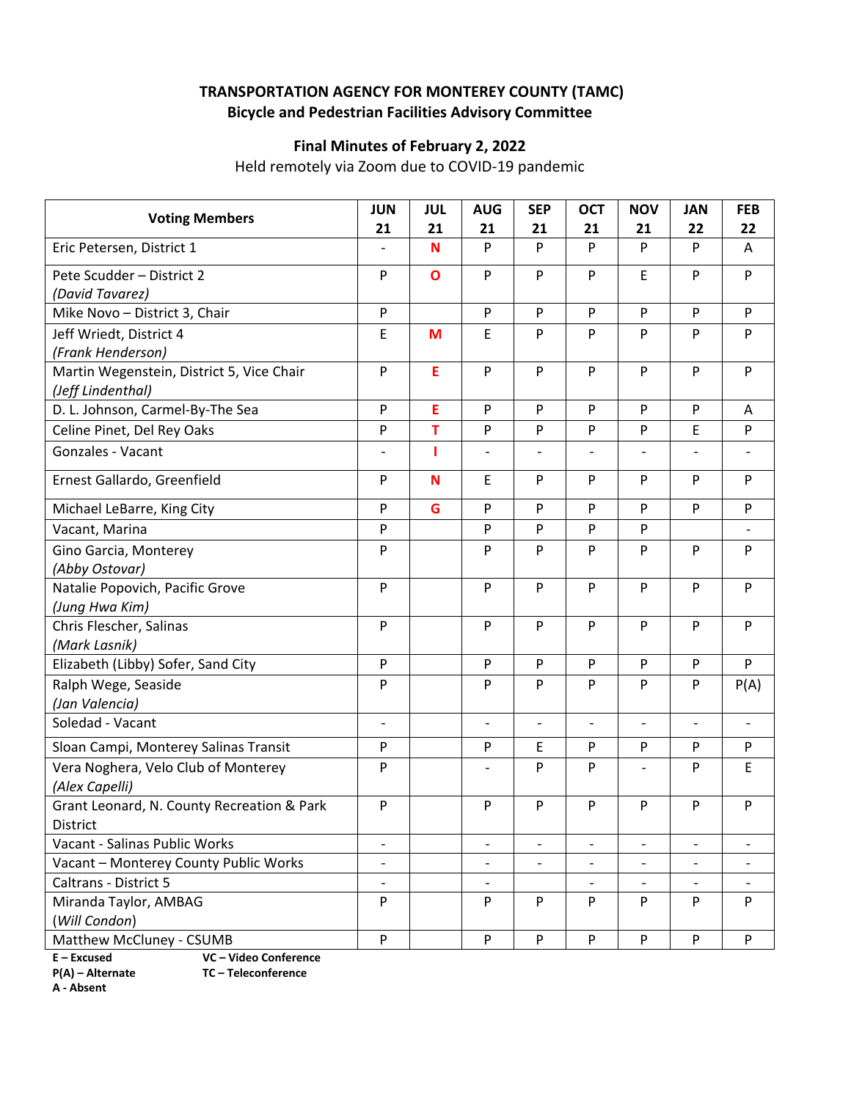## **TRANSPORTATION AGENCY FOR MONTEREY COUNTY (TAMC) Bicycle and Pedestrian Facilities Advisory Committee**

## **Final Minutes of February 2, 2022**

Held remotely via Zoom due to COVID‐19 pandemic

| <b>Voting Members</b>                            | <b>JUN</b>                     | <b>JUL</b>   | <b>AUG</b>               | <b>SEP</b>                   | <b>OCT</b>               | <b>NOV</b>               | <b>JAN</b>                   | <b>FEB</b>               |
|--------------------------------------------------|--------------------------------|--------------|--------------------------|------------------------------|--------------------------|--------------------------|------------------------------|--------------------------|
| Eric Petersen, District 1                        | 21<br>$\overline{\phantom{0}}$ | 21<br>N      | 21<br>P                  | 21<br>P                      | 21<br>P                  | 21<br>P                  | 22<br>P                      | 22<br>Α                  |
|                                                  |                                |              |                          |                              |                          |                          |                              |                          |
| Pete Scudder - District 2                        | $\mathsf{P}$                   | $\mathbf{o}$ | P                        | P                            | P                        | E                        | P                            | P                        |
| (David Tavarez)<br>Mike Novo - District 3, Chair | ${\sf P}$                      |              | P                        | P                            | P                        | P                        | P                            | P                        |
|                                                  |                                |              | E                        | P                            | P                        | P                        | P                            | P                        |
| Jeff Wriedt, District 4<br>(Frank Henderson)     | E                              | M            |                          |                              |                          |                          |                              |                          |
| Martin Wegenstein, District 5, Vice Chair        | $\mathsf{P}$                   | E            | P                        | P                            | P                        | P                        | $\mathsf{P}$                 | P                        |
| (Jeff Lindenthal)                                |                                |              |                          |                              |                          |                          |                              |                          |
| D. L. Johnson, Carmel-By-The Sea                 | $\mathsf{P}$                   | E            | P                        | P                            | P                        | P                        | $\mathsf{P}$                 | A                        |
| Celine Pinet, Del Rey Oaks                       | P                              | T            | P                        | P                            | P                        | P                        | E                            | P                        |
| Gonzales - Vacant                                |                                |              |                          |                              |                          | $\overline{a}$           |                              |                          |
|                                                  |                                |              |                          |                              |                          |                          |                              |                          |
| Ernest Gallardo, Greenfield                      | P                              | N            | E                        | P                            | P                        | P                        | P                            | P                        |
| Michael LeBarre, King City                       | P                              | G            | P                        | P                            | P                        | P                        | P                            | P                        |
| Vacant, Marina                                   | P                              |              | P                        | P                            | P                        | P                        |                              |                          |
| Gino Garcia, Monterey                            | $\mathsf{P}$                   |              | P                        | P                            | P                        | P                        | P                            | P                        |
| (Abby Ostovar)                                   |                                |              |                          |                              |                          |                          |                              |                          |
| Natalie Popovich, Pacific Grove                  | ${\sf P}$                      |              | P                        | P                            | P                        | P                        | P                            | P                        |
| (Jung Hwa Kim)                                   |                                |              |                          |                              |                          |                          |                              |                          |
| Chris Flescher, Salinas                          | P                              |              | P                        | P                            | P                        | P                        | P                            | P                        |
| (Mark Lasnik)                                    |                                |              |                          |                              |                          |                          |                              |                          |
| Elizabeth (Libby) Sofer, Sand City               | ${\sf P}$                      |              | P                        | ${\sf P}$                    | P                        | P                        | $\mathsf{P}$                 | P                        |
| Ralph Wege, Seaside                              | P                              |              | P                        | P                            | P                        | P                        | P                            | P(A)                     |
| (Jan Valencia)                                   |                                |              |                          |                              |                          |                          |                              |                          |
| Soledad - Vacant                                 | $\overline{\phantom{a}}$       |              | $\overline{\phantom{0}}$ | $\qquad \qquad \blacksquare$ | $\overline{\phantom{a}}$ | $\overline{\phantom{a}}$ | $\qquad \qquad -$            | $\overline{\phantom{a}}$ |
| Sloan Campi, Monterey Salinas Transit            | ${\sf P}$                      |              | P                        | $\mathsf E$                  | P                        | P                        | P                            | P                        |
| Vera Noghera, Velo Club of Monterey              | P                              |              |                          | P                            | P                        | $\overline{a}$           | P                            | E                        |
| (Alex Capelli)                                   |                                |              |                          |                              |                          |                          |                              |                          |
| Grant Leonard, N. County Recreation & Park       | P                              |              | P                        | P                            | P                        | P                        | P                            | P                        |
| District                                         |                                |              |                          |                              |                          |                          |                              |                          |
| Vacant - Salinas Public Works                    | $\overline{\phantom{a}}$       |              | $\overline{a}$           | $\blacksquare$               |                          | $\overline{\phantom{0}}$ |                              |                          |
| Vacant - Monterey County Public Works            | $\overline{\phantom{a}}$       |              | -                        | $\overline{\phantom{a}}$     | $\overline{\phantom{a}}$ | $\qquad \qquad -$        | $\qquad \qquad \blacksquare$ |                          |
| Caltrans - District 5                            | $\overline{\phantom{m}}$       |              | $\overline{a}$           |                              |                          | $\overline{a}$           |                              |                          |
| Miranda Taylor, AMBAG                            | $\mathsf{P}$                   |              | P                        | ${\sf P}$                    | P                        | P                        | P                            | P                        |
| (Will Condon)                                    |                                |              |                          |                              |                          |                          |                              |                          |
| Matthew McCluney - CSUMB                         | ${\sf P}$                      |              | P                        | P                            | P                        | ${\sf P}$                | P                            | P                        |

**E – Excused VC – Video Conference** 

**A ‐ Absent**

**P(A) – Alternate TC – Teleconference**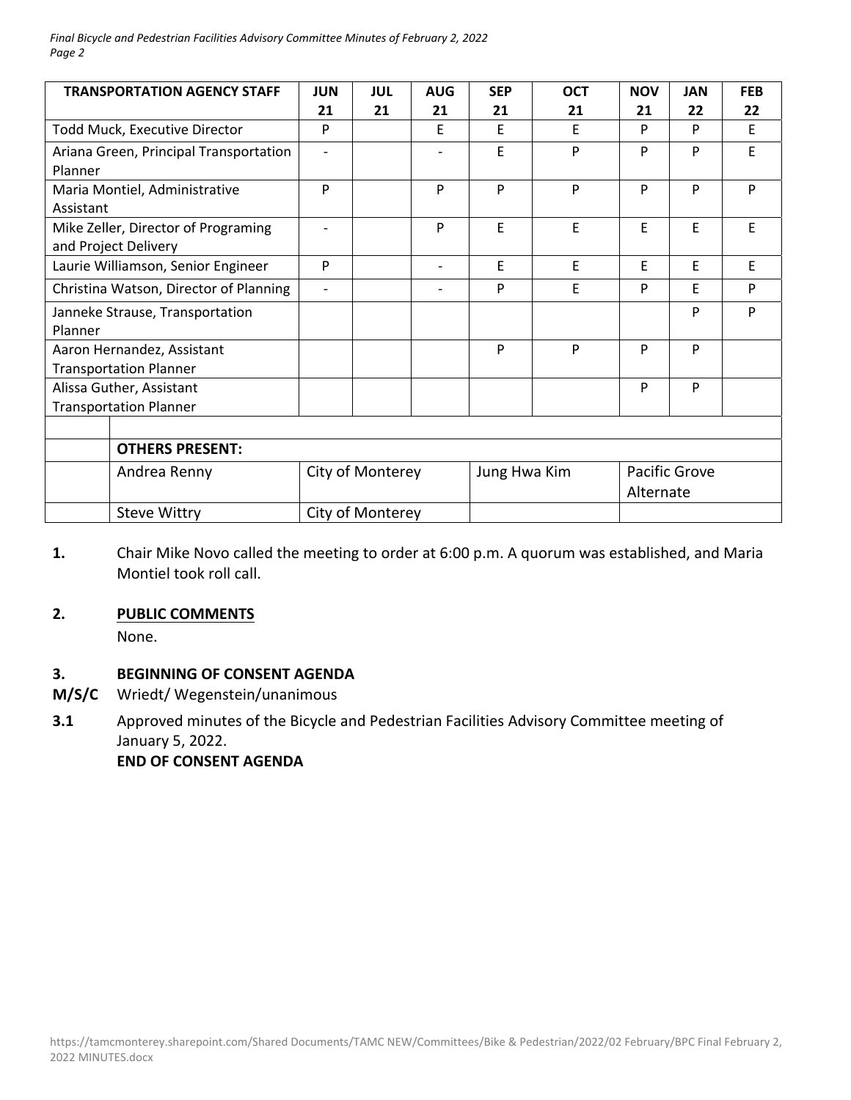#### *Final Bicycle and Pedestrian Facilities Advisory Committee Minutes of February 2, 2022 Page 2*

| <b>TRANSPORTATION AGENCY STAFF</b>     | <b>JUN</b>               | JUL | <b>AUG</b> | <b>SEP</b>   | <b>OCT</b> | <b>NOV</b>    | <b>JAN</b> | <b>FEB</b> |
|----------------------------------------|--------------------------|-----|------------|--------------|------------|---------------|------------|------------|
|                                        | 21                       | 21  | 21         | 21           | 21         | 21            | 22         | 22         |
| Todd Muck, Executive Director          | P                        |     | E          | E            | F          | P             | P          | E          |
| Ariana Green, Principal Transportation | $\overline{\phantom{a}}$ |     |            | E            | P          | P             | P          | E          |
| Planner                                |                          |     |            |              |            |               |            |            |
| Maria Montiel, Administrative          | P                        |     | P          | P            | P          | P             | P          | P          |
| Assistant                              |                          |     |            |              |            |               |            |            |
| Mike Zeller, Director of Programing    | $\overline{a}$           |     | P          | F            | E          | F             | E          | E          |
| and Project Delivery                   |                          |     |            |              |            |               |            |            |
| Laurie Williamson, Senior Engineer     | P                        |     |            | E            | E          | F             | E          | E          |
| Christina Watson, Director of Planning | $\overline{\phantom{a}}$ |     |            | P            | E          | P             | F          | P          |
| Janneke Strause, Transportation        |                          |     |            |              |            |               | P          | P          |
| Planner                                |                          |     |            |              |            |               |            |            |
| Aaron Hernandez, Assistant             |                          |     |            | P            | P          | P             | P          |            |
| <b>Transportation Planner</b>          |                          |     |            |              |            |               |            |            |
| Alissa Guther, Assistant               |                          |     |            |              |            | P             | P          |            |
| <b>Transportation Planner</b>          |                          |     |            |              |            |               |            |            |
|                                        |                          |     |            |              |            |               |            |            |
| <b>OTHERS PRESENT:</b>                 |                          |     |            |              |            |               |            |            |
| Andrea Renny                           | City of Monterey         |     |            | Jung Hwa Kim |            | Pacific Grove |            |            |
|                                        |                          |     |            |              |            | Alternate     |            |            |
| <b>Steve Wittry</b>                    | City of Monterey         |     |            |              |            |               |            |            |

**1.**  Chair Mike Novo called the meeting to order at 6:00 p.m. A quorum was established, and Maria Montiel took roll call.

### **2. PUBLIC COMMENTS**

None.

#### **3. BEGINNING OF CONSENT AGENDA**

- **M/S/C**  Wriedt/ Wegenstein/unanimous
- **3.1**  Approved minutes of the Bicycle and Pedestrian Facilities Advisory Committee meeting of January 5, 2022.

 **END OF CONSENT AGENDA**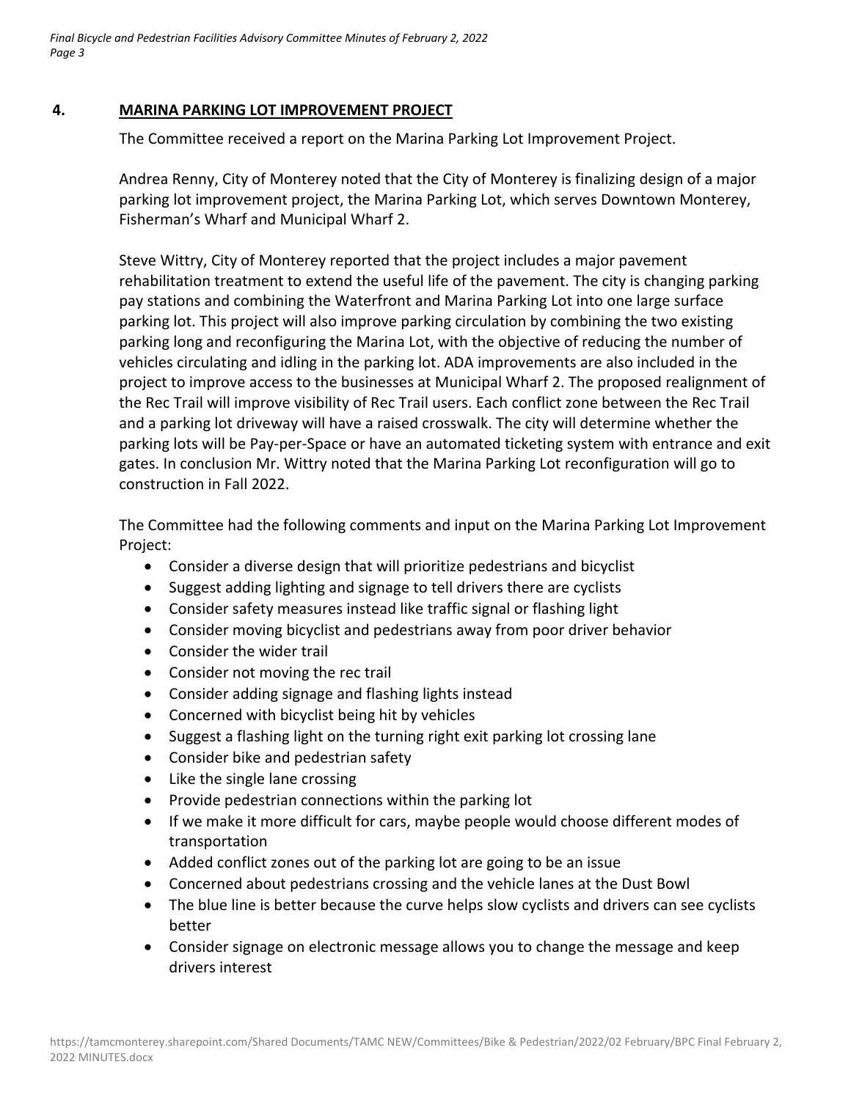*Final Bicycle and Pedestrian Facilities Advisory Committee Minutes of February 2, 2022 Page 3*

### **4. MARINA PARKING LOT IMPROVEMENT PROJECT**

The Committee received a report on the Marina Parking Lot Improvement Project.

Andrea Renny, City of Monterey noted that the City of Monterey is finalizing design of a major parking lot improvement project, the Marina Parking Lot, which serves Downtown Monterey, Fisherman's Wharf and Municipal Wharf 2.

Steve Wittry, City of Monterey reported that the project includes a major pavement rehabilitation treatment to extend the useful life of the pavement. The city is changing parking pay stations and combining the Waterfront and Marina Parking Lot into one large surface parking lot. This project will also improve parking circulation by combining the two existing parking long and reconfiguring the Marina Lot, with the objective of reducing the number of vehicles circulating and idling in the parking lot. ADA improvements are also included in the project to improve access to the businesses at Municipal Wharf 2. The proposed realignment of the Rec Trail will improve visibility of Rec Trail users. Each conflict zone between the Rec Trail and a parking lot driveway will have a raised crosswalk. The city will determine whether the parking lots will be Pay‐per‐Space or have an automated ticketing system with entrance and exit gates. In conclusion Mr. Wittry noted that the Marina Parking Lot reconfiguration will go to construction in Fall 2022.

The Committee had the following comments and input on the Marina Parking Lot Improvement Project:

- Consider a diverse design that will prioritize pedestrians and bicyclist
- Suggest adding lighting and signage to tell drivers there are cyclists
- Consider safety measures instead like traffic signal or flashing light
- Consider moving bicyclist and pedestrians away from poor driver behavior
- Consider the wider trail
- Consider not moving the rec trail
- Consider adding signage and flashing lights instead
- Concerned with bicyclist being hit by vehicles
- Suggest a flashing light on the turning right exit parking lot crossing lane
- Consider bike and pedestrian safety
- Like the single lane crossing
- Provide pedestrian connections within the parking lot
- If we make it more difficult for cars, maybe people would choose different modes of transportation
- Added conflict zones out of the parking lot are going to be an issue
- Concerned about pedestrians crossing and the vehicle lanes at the Dust Bowl
- The blue line is better because the curve helps slow cyclists and drivers can see cyclists better
- Consider signage on electronic message allows you to change the message and keep drivers interest